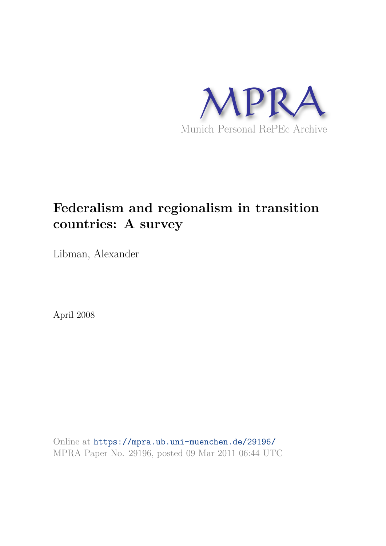

# **Federalism and regionalism in transition countries: A survey**

Libman, Alexander

April 2008

Online at https://mpra.ub.uni-muenchen.de/29196/ MPRA Paper No. 29196, posted 09 Mar 2011 06:44 UTC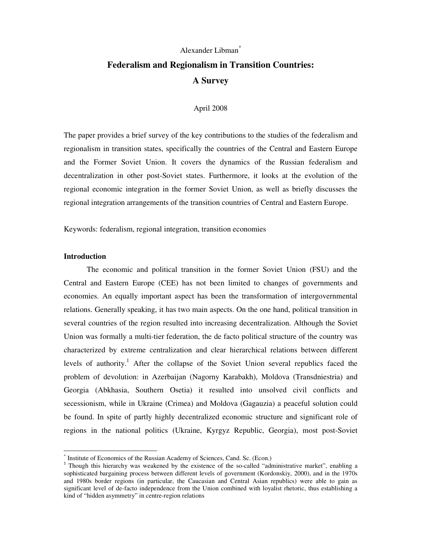# Alexander Libman\* **Federalism and Regionalism in Transition Countries: A Survey**

#### April 2008

The paper provides a brief survey of the key contributions to the studies of the federalism and regionalism in transition states, specifically the countries of the Central and Eastern Europe and the Former Soviet Union. It covers the dynamics of the Russian federalism and decentralization in other post-Soviet states. Furthermore, it looks at the evolution of the regional economic integration in the former Soviet Union, as well as briefly discusses the regional integration arrangements of the transition countries of Central and Eastern Europe.

Keywords: federalism, regional integration, transition economies

#### **Introduction**

 $\overline{a}$ 

The economic and political transition in the former Soviet Union (FSU) and the Central and Eastern Europe (CEE) has not been limited to changes of governments and economies. An equally important aspect has been the transformation of intergovernmental relations. Generally speaking, it has two main aspects. On the one hand, political transition in several countries of the region resulted into increasing decentralization. Although the Soviet Union was formally a multi-tier federation, the de facto political structure of the country was characterized by extreme centralization and clear hierarchical relations between different levels of authority.<sup>1</sup> After the collapse of the Soviet Union several republics faced the problem of devolution: in Azerbaijan (Nagorny Karabakh), Moldova (Transdniestria) and Georgia (Abkhasia, Southern Osetia) it resulted into unsolved civil conflicts and secessionism, while in Ukraine (Crimea) and Moldova (Gagauzia) a peaceful solution could be found. In spite of partly highly decentralized economic structure and significant role of regions in the national politics (Ukraine, Kyrgyz Republic, Georgia), most post-Soviet

<sup>\*</sup> Institute of Economics of the Russian Academy of Sciences, Cand. Sc. (Econ.)

<sup>&</sup>lt;sup>1</sup> Though this hierarchy was weakened by the existence of the so-called "administrative market", enabling a sophisticated bargaining process between different levels of government (Kordonskiy, 2000), and in the 1970s and 1980s border regions (in particular, the Caucasian and Central Asian republics) were able to gain as significant level of de-facto independence from the Union combined with loyalist rhetoric, thus establishing a kind of "hidden asymmetry" in centre-region relations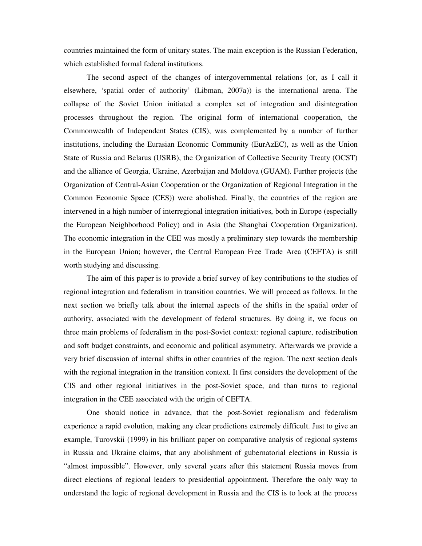countries maintained the form of unitary states. The main exception is the Russian Federation, which established formal federal institutions.

The second aspect of the changes of intergovernmental relations (or, as I call it elsewhere, 'spatial order of authority' (Libman, 2007a)) is the international arena. The collapse of the Soviet Union initiated a complex set of integration and disintegration processes throughout the region. The original form of international cooperation, the Commonwealth of Independent States (CIS), was complemented by a number of further institutions, including the Eurasian Economic Community (EurAzEC), as well as the Union State of Russia and Belarus (USRB), the Organization of Collective Security Treaty (OCST) and the alliance of Georgia, Ukraine, Azerbaijan and Moldova (GUAM). Further projects (the Organization of Central-Asian Cooperation or the Organization of Regional Integration in the Common Economic Space (CES)) were abolished. Finally, the countries of the region are intervened in a high number of interregional integration initiatives, both in Europe (especially the European Neighborhood Policy) and in Asia (the Shanghai Cooperation Organization). The economic integration in the CEE was mostly a preliminary step towards the membership in the European Union; however, the Central European Free Trade Area (CEFTA) is still worth studying and discussing.

The aim of this paper is to provide a brief survey of key contributions to the studies of regional integration and federalism in transition countries. We will proceed as follows. In the next section we briefly talk about the internal aspects of the shifts in the spatial order of authority, associated with the development of federal structures. By doing it, we focus on three main problems of federalism in the post-Soviet context: regional capture, redistribution and soft budget constraints, and economic and political asymmetry. Afterwards we provide a very brief discussion of internal shifts in other countries of the region. The next section deals with the regional integration in the transition context. It first considers the development of the CIS and other regional initiatives in the post-Soviet space, and than turns to regional integration in the CEE associated with the origin of CEFTA.

One should notice in advance, that the post-Soviet regionalism and federalism experience a rapid evolution, making any clear predictions extremely difficult. Just to give an example, Turovskii (1999) in his brilliant paper on comparative analysis of regional systems in Russia and Ukraine claims, that any abolishment of gubernatorial elections in Russia is "almost impossible". However, only several years after this statement Russia moves from direct elections of regional leaders to presidential appointment. Therefore the only way to understand the logic of regional development in Russia and the CIS is to look at the process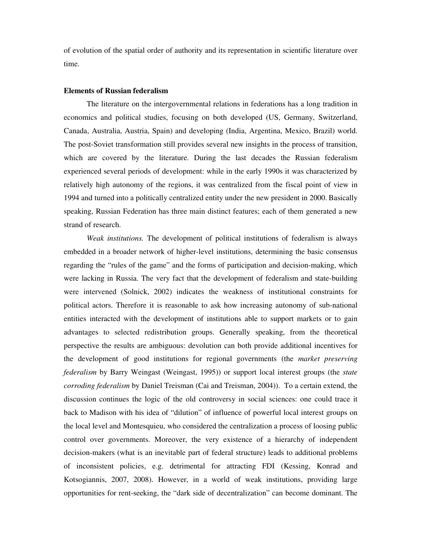of evolution of the spatial order of authority and its representation in scientific literature over time.

#### **Elements of Russian federalism**

The literature on the intergovernmental relations in federations has a long tradition in economics and political studies, focusing on both developed (US, Germany, Switzerland, Canada, Australia, Austria, Spain) and developing (India, Argentina, Mexico, Brazil) world. The post-Soviet transformation still provides several new insights in the process of transition, which are covered by the literature. During the last decades the Russian federalism experienced several periods of development: while in the early 1990s it was characterized by relatively high autonomy of the regions, it was centralized from the fiscal point of view in 1994 and turned into a politically centralized entity under the new president in 2000. Basically speaking, Russian Federation has three main distinct features; each of them generated a new strand of research.

*Weak institutions.* The development of political institutions of federalism is always embedded in a broader network of higher-level institutions, determining the basic consensus regarding the "rules of the game" and the forms of participation and decision-making, which were lacking in Russia. The very fact that the development of federalism and state-building were intervened (Solnick, 2002) indicates the weakness of institutional constraints for political actors. Therefore it is reasonable to ask how increasing autonomy of sub-national entities interacted with the development of institutions able to support markets or to gain advantages to selected redistribution groups. Generally speaking, from the theoretical perspective the results are ambiguous: devolution can both provide additional incentives for the development of good institutions for regional governments (the *market preserving federalism* by Barry Weingast (Weingast, 1995)) or support local interest groups (the *state corroding federalism* by Daniel Treisman (Cai and Treisman, 2004)). To a certain extend, the discussion continues the logic of the old controversy in social sciences: one could trace it back to Madison with his idea of "dilution" of influence of powerful local interest groups on the local level and Montesquieu, who considered the centralization a process of loosing public control over governments. Moreover, the very existence of a hierarchy of independent decision-makers (what is an inevitable part of federal structure) leads to additional problems of inconsistent policies, e.g. detrimental for attracting FDI (Kessing, Konrad and Kotsogiannis, 2007, 2008). However, in a world of weak institutions, providing large opportunities for rent-seeking, the "dark side of decentralization" can become dominant. The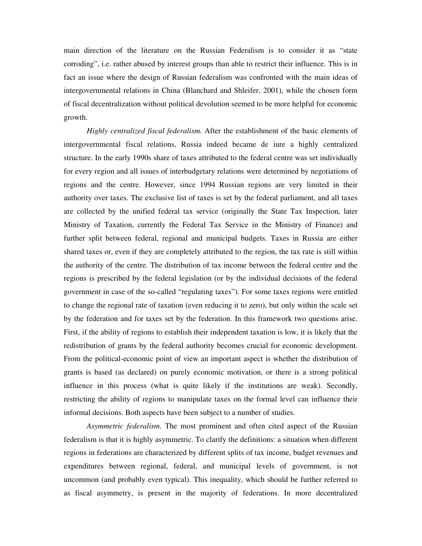main direction of the literature on the Russian Federalism is to consider it as "state corroding", i.e. rather abused by interest groups than able to restrict their influence. This is in fact an issue where the design of Russian federalism was confronted with the main ideas of intergovernmental relations in China (Blanchard and Shleifer, 2001), while the chosen form of fiscal decentralization without political devolution seemed to be more helpful for economic growth.

*Highly centralized fiscal federalism.* After the establishment of the basic elements of intergovernmental fiscal relations, Russia indeed became de iure a highly centralized structure. In the early 1990s share of taxes attributed to the federal centre was set individually for every region and all issues of interbudgetary relations were determined by negotiations of regions and the centre. However, since 1994 Russian regions are very limited in their authority over taxes. The exclusive list of taxes is set by the federal parliament, and all taxes are collected by the unified federal tax service (originally the State Tax Inspection, later Ministry of Taxation, currently the Federal Tax Service in the Ministry of Finance) and further split between federal, regional and municipal budgets. Taxes in Russia are either shared taxes or, even if they are completely attributed to the region, the tax rate is still within the authority of the centre. The distribution of tax income between the federal centre and the regions is prescribed by the federal legislation (or by the individual decisions of the federal government in case of the so-called "regulating taxes"). For some taxes regions were entitled to change the regional rate of taxation (even reducing it to zero), but only within the scale set by the federation and for taxes set by the federation. In this framework two questions arise. First, if the ability of regions to establish their independent taxation is low, it is likely that the redistribution of grants by the federal authority becomes crucial for economic development. From the political-economic point of view an important aspect is whether the distribution of grants is based (as declared) on purely economic motivation, or there is a strong political influence in this process (what is quite likely if the institutions are weak). Secondly, restricting the ability of regions to manipulate taxes on the formal level can influence their informal decisions. Both aspects have been subject to a number of studies.

*Asymmetric federalism.* The most prominent and often cited aspect of the Russian federalism is that it is highly asymmetric. To clarify the definitions: a situation when different regions in federations are characterized by different splits of tax income, budget revenues and expenditures between regional, federal, and municipal levels of government, is not uncommon (and probably even typical). This inequality, which should be further referred to as fiscal asymmetry, is present in the majority of federations. In more decentralized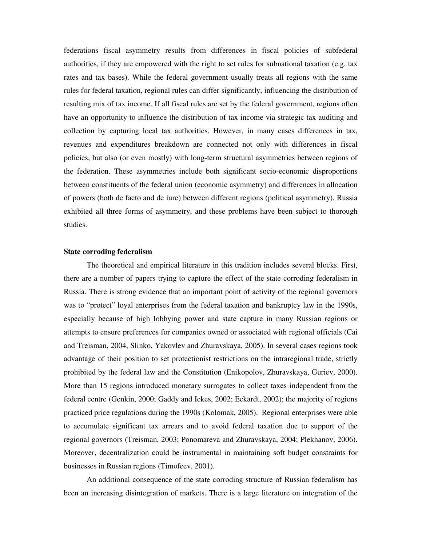federations fiscal asymmetry results from differences in fiscal policies of subfederal authorities, if they are empowered with the right to set rules for subnational taxation (e.g. tax rates and tax bases). While the federal government usually treats all regions with the same rules for federal taxation, regional rules can differ significantly, influencing the distribution of resulting mix of tax income. If all fiscal rules are set by the federal government, regions often have an opportunity to influence the distribution of tax income via strategic tax auditing and collection by capturing local tax authorities. However, in many cases differences in tax, revenues and expenditures breakdown are connected not only with differences in fiscal policies, but also (or even mostly) with long-term structural asymmetries between regions of the federation. These asymmetries include both significant socio-economic disproportions between constituents of the federal union (economic asymmetry) and differences in allocation of powers (both de facto and de iure) between different regions (political asymmetry). Russia exhibited all three forms of asymmetry, and these problems have been subject to thorough studies.

#### **State corroding federalism**

The theoretical and empirical literature in this tradition includes several blocks. First, there are a number of papers trying to capture the effect of the state corroding federalism in Russia. There is strong evidence that an important point of activity of the regional governors was to "protect" loyal enterprises from the federal taxation and bankruptcy law in the 1990s, especially because of high lobbying power and state capture in many Russian regions or attempts to ensure preferences for companies owned or associated with regional officials (Cai and Treisman, 2004, Slinko, Yakovlev and Zhuravskaya, 2005). In several cases regions took advantage of their position to set protectionist restrictions on the intraregional trade, strictly prohibited by the federal law and the Constitution (Enikopolov, Zhuravskaya, Guriev, 2000). More than 15 regions introduced monetary surrogates to collect taxes independent from the federal centre (Genkin, 2000; Gaddy and Ickes, 2002; Eckardt, 2002); the majority of regions practiced price regulations during the 1990s (Kolomak, 2005). Regional enterprises were able to accumulate significant tax arrears and to avoid federal taxation due to support of the regional governors (Treisman, 2003; Ponomareva and Zhuravskaya, 2004; Plekhanov, 2006). Moreover, decentralization could be instrumental in maintaining soft budget constraints for businesses in Russian regions (Timofeev, 2001).

An additional consequence of the state corroding structure of Russian federalism has been an increasing disintegration of markets. There is a large literature on integration of the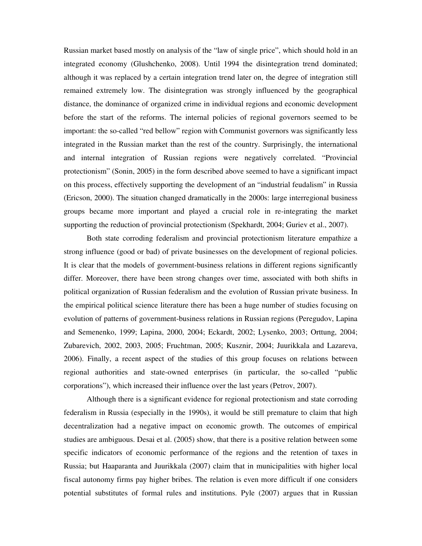Russian market based mostly on analysis of the "law of single price", which should hold in an integrated economy (Glushchenko, 2008). Until 1994 the disintegration trend dominated; although it was replaced by a certain integration trend later on, the degree of integration still remained extremely low. The disintegration was strongly influenced by the geographical distance, the dominance of organized crime in individual regions and economic development before the start of the reforms. The internal policies of regional governors seemed to be important: the so-called "red bellow" region with Communist governors was significantly less integrated in the Russian market than the rest of the country. Surprisingly, the international and internal integration of Russian regions were negatively correlated. "Provincial protectionism" (Sonin, 2005) in the form described above seemed to have a significant impact on this process, effectively supporting the development of an "industrial feudalism" in Russia (Ericson, 2000). The situation changed dramatically in the 2000s: large interregional business groups became more important and played a crucial role in re-integrating the market supporting the reduction of provincial protectionism (Spekhardt, 2004; Guriev et al., 2007).

Both state corroding federalism and provincial protectionism literature empathize a strong influence (good or bad) of private businesses on the development of regional policies. It is clear that the models of government-business relations in different regions significantly differ. Moreover, there have been strong changes over time, associated with both shifts in political organization of Russian federalism and the evolution of Russian private business. In the empirical political science literature there has been a huge number of studies focusing on evolution of patterns of government-business relations in Russian regions (Peregudov, Lapina and Semenenko, 1999; Lapina, 2000, 2004; Eckardt, 2002; Lysenko, 2003; Orttung, 2004; Zubarevich, 2002, 2003, 2005; Fruchtman, 2005; Kusznir, 2004; Juurikkala and Lazareva, 2006). Finally, a recent aspect of the studies of this group focuses on relations between regional authorities and state-owned enterprises (in particular, the so-called "public corporations"), which increased their influence over the last years (Petrov, 2007).

Although there is a significant evidence for regional protectionism and state corroding federalism in Russia (especially in the 1990s), it would be still premature to claim that high decentralization had a negative impact on economic growth. The outcomes of empirical studies are ambiguous. Desai et al. (2005) show, that there is a positive relation between some specific indicators of economic performance of the regions and the retention of taxes in Russia; but Haaparanta and Juurikkala (2007) claim that in municipalities with higher local fiscal autonomy firms pay higher bribes. The relation is even more difficult if one considers potential substitutes of formal rules and institutions. Pyle (2007) argues that in Russian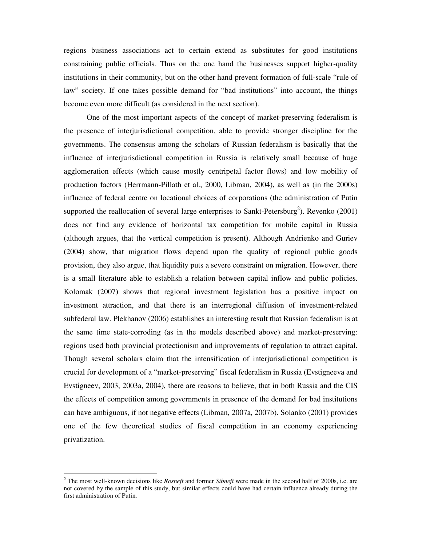regions business associations act to certain extend as substitutes for good institutions constraining public officials. Thus on the one hand the businesses support higher-quality institutions in their community, but on the other hand prevent formation of full-scale "rule of law" society. If one takes possible demand for "bad institutions" into account, the things become even more difficult (as considered in the next section).

One of the most important aspects of the concept of market-preserving federalism is the presence of interjurisdictional competition, able to provide stronger discipline for the governments. The consensus among the scholars of Russian federalism is basically that the influence of interjurisdictional competition in Russia is relatively small because of huge agglomeration effects (which cause mostly centripetal factor flows) and low mobility of production factors (Herrmann-Pillath et al., 2000, Libman, 2004), as well as (in the 2000s) influence of federal centre on locational choices of corporations (the administration of Putin supported the reallocation of several large enterprises to Sankt-Petersburg<sup>2</sup>). Revenko (2001) does not find any evidence of horizontal tax competition for mobile capital in Russia (although argues, that the vertical competition is present). Although Andrienko and Guriev (2004) show, that migration flows depend upon the quality of regional public goods provision, they also argue, that liquidity puts a severe constraint on migration. However, there is a small literature able to establish a relation between capital inflow and public policies. Kolomak (2007) shows that regional investment legislation has a positive impact on investment attraction, and that there is an interregional diffusion of investment-related subfederal law. Plekhanov (2006) establishes an interesting result that Russian federalism is at the same time state-corroding (as in the models described above) and market-preserving: regions used both provincial protectionism and improvements of regulation to attract capital. Though several scholars claim that the intensification of interjurisdictional competition is crucial for development of a "market-preserving" fiscal federalism in Russia (Evstigneeva and Evstigneev, 2003, 2003a, 2004), there are reasons to believe, that in both Russia and the CIS the effects of competition among governments in presence of the demand for bad institutions can have ambiguous, if not negative effects (Libman, 2007a, 2007b). Solanko (2001) provides one of the few theoretical studies of fiscal competition in an economy experiencing privatization.

 $\overline{a}$ 

<sup>&</sup>lt;sup>2</sup> The most well-known decisions like *Rosneft* and former *Sibneft* were made in the second half of 2000s, i.e. are not covered by the sample of this study, but similar effects could have had certain influence already during the first administration of Putin.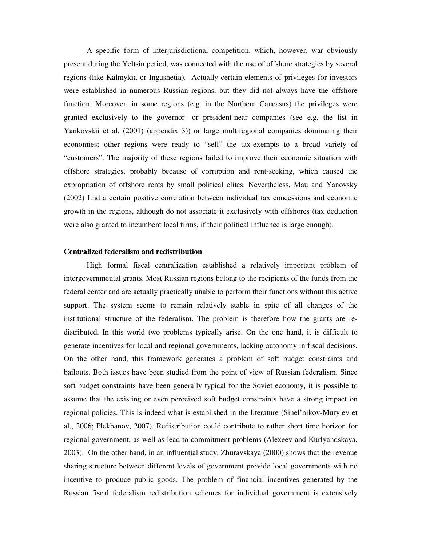A specific form of interjurisdictional competition, which, however, war obviously present during the Yeltsin period, was connected with the use of offshore strategies by several regions (like Kalmykia or Ingushetia). Actually certain elements of privileges for investors were established in numerous Russian regions, but they did not always have the offshore function. Moreover, in some regions (e.g. in the Northern Caucasus) the privileges were granted exclusively to the governor- or president-near companies (see e.g. the list in Yankovskii et al. (2001) (appendix 3)) or large multiregional companies dominating their economies; other regions were ready to "sell" the tax-exempts to a broad variety of "customers". The majority of these regions failed to improve their economic situation with offshore strategies, probably because of corruption and rent-seeking, which caused the expropriation of offshore rents by small political elites. Nevertheless, Mau and Yanovsky (2002) find a certain positive correlation between individual tax concessions and economic growth in the regions, although do not associate it exclusively with offshores (tax deduction were also granted to incumbent local firms, if their political influence is large enough).

# **Centralized federalism and redistribution**

High formal fiscal centralization established a relatively important problem of intergovernmental grants. Most Russian regions belong to the recipients of the funds from the federal center and are actually practically unable to perform their functions without this active support. The system seems to remain relatively stable in spite of all changes of the institutional structure of the federalism. The problem is therefore how the grants are redistributed. In this world two problems typically arise. On the one hand, it is difficult to generate incentives for local and regional governments, lacking autonomy in fiscal decisions. On the other hand, this framework generates a problem of soft budget constraints and bailouts. Both issues have been studied from the point of view of Russian federalism. Since soft budget constraints have been generally typical for the Soviet economy, it is possible to assume that the existing or even perceived soft budget constraints have a strong impact on regional policies. This is indeed what is established in the literature (Sinel'nikov-Murylev et al., 2006; Plekhanov, 2007). Redistribution could contribute to rather short time horizon for regional government, as well as lead to commitment problems (Alexeev and Kurlyandskaya, 2003). On the other hand, in an influential study, Zhuravskaya (2000) shows that the revenue sharing structure between different levels of government provide local governments with no incentive to produce public goods. The problem of financial incentives generated by the Russian fiscal federalism redistribution schemes for individual government is extensively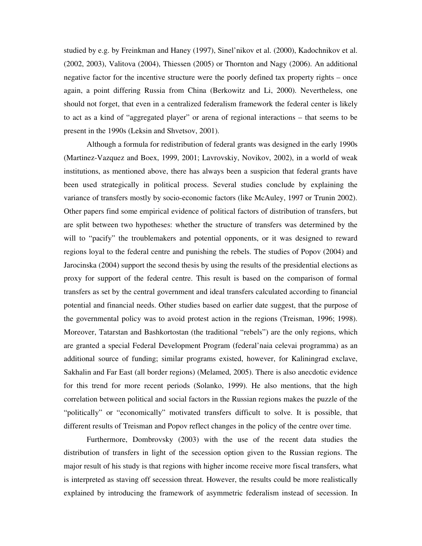studied by e.g. by Freinkman and Haney (1997), Sinel'nikov et al. (2000), Kadochnikov et al. (2002, 2003), Valitova (2004), Thiessen (2005) or Thornton and Nagy (2006). An additional negative factor for the incentive structure were the poorly defined tax property rights – once again, a point differing Russia from China (Berkowitz and Li, 2000). Nevertheless, one should not forget, that even in a centralized federalism framework the federal center is likely to act as a kind of "aggregated player" or arena of regional interactions – that seems to be present in the 1990s (Leksin and Shvetsov, 2001).

Although a formula for redistribution of federal grants was designed in the early 1990s (Martinez-Vazquez and Boex, 1999, 2001; Lavrovskiy, Novikov, 2002), in a world of weak institutions, as mentioned above, there has always been a suspicion that federal grants have been used strategically in political process. Several studies conclude by explaining the variance of transfers mostly by socio-economic factors (like McAuley, 1997 or Trunin 2002). Other papers find some empirical evidence of political factors of distribution of transfers, but are split between two hypotheses: whether the structure of transfers was determined by the will to "pacify" the troublemakers and potential opponents, or it was designed to reward regions loyal to the federal centre and punishing the rebels. The studies of Popov (2004) and Jarocinska (2004) support the second thesis by using the results of the presidential elections as proxy for support of the federal centre. This result is based on the comparison of formal transfers as set by the central government and ideal transfers calculated according to financial potential and financial needs. Other studies based on earlier date suggest, that the purpose of the governmental policy was to avoid protest action in the regions (Treisman, 1996; 1998). Moreover, Tatarstan and Bashkortostan (the traditional "rebels") are the only regions, which are granted a special Federal Development Program (federal'naia celevai programma) as an additional source of funding; similar programs existed, however, for Kaliningrad exclave, Sakhalin and Far East (all border regions) (Melamed, 2005). There is also anecdotic evidence for this trend for more recent periods (Solanko, 1999). He also mentions, that the high correlation between political and social factors in the Russian regions makes the puzzle of the "politically" or "economically" motivated transfers difficult to solve. It is possible, that different results of Treisman and Popov reflect changes in the policy of the centre over time.

Furthermore, Dombrovsky (2003) with the use of the recent data studies the distribution of transfers in light of the secession option given to the Russian regions. The major result of his study is that regions with higher income receive more fiscal transfers, what is interpreted as staving off secession threat. However, the results could be more realistically explained by introducing the framework of asymmetric federalism instead of secession. In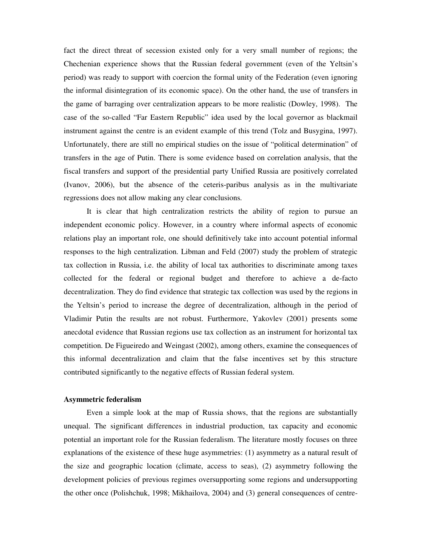fact the direct threat of secession existed only for a very small number of regions; the Chechenian experience shows that the Russian federal government (even of the Yeltsin's period) was ready to support with coercion the formal unity of the Federation (even ignoring the informal disintegration of its economic space). On the other hand, the use of transfers in the game of barraging over centralization appears to be more realistic (Dowley, 1998). The case of the so-called "Far Eastern Republic" idea used by the local governor as blackmail instrument against the centre is an evident example of this trend (Tolz and Busygina, 1997). Unfortunately, there are still no empirical studies on the issue of "political determination" of transfers in the age of Putin. There is some evidence based on correlation analysis, that the fiscal transfers and support of the presidential party Unified Russia are positively correlated (Ivanov, 2006), but the absence of the ceteris-paribus analysis as in the multivariate regressions does not allow making any clear conclusions.

 It is clear that high centralization restricts the ability of region to pursue an independent economic policy. However, in a country where informal aspects of economic relations play an important role, one should definitively take into account potential informal responses to the high centralization. Libman and Feld (2007) study the problem of strategic tax collection in Russia, i.e. the ability of local tax authorities to discriminate among taxes collected for the federal or regional budget and therefore to achieve a de-facto decentralization. They do find evidence that strategic tax collection was used by the regions in the Yeltsin's period to increase the degree of decentralization, although in the period of Vladimir Putin the results are not robust. Furthermore, Yakovlev (2001) presents some anecdotal evidence that Russian regions use tax collection as an instrument for horizontal tax competition. De Figueiredo and Weingast (2002), among others, examine the consequences of this informal decentralization and claim that the false incentives set by this structure contributed significantly to the negative effects of Russian federal system.

#### **Asymmetric federalism**

Even a simple look at the map of Russia shows, that the regions are substantially unequal. The significant differences in industrial production, tax capacity and economic potential an important role for the Russian federalism. The literature mostly focuses on three explanations of the existence of these huge asymmetries: (1) asymmetry as a natural result of the size and geographic location (climate, access to seas), (2) asymmetry following the development policies of previous regimes oversupporting some regions and undersupporting the other once (Polishchuk, 1998; Mikhailova, 2004) and (3) general consequences of centre-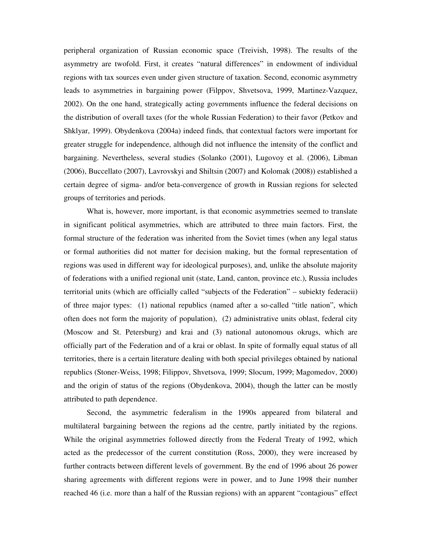peripheral organization of Russian economic space (Treivish, 1998). The results of the asymmetry are twofold. First, it creates "natural differences" in endowment of individual regions with tax sources even under given structure of taxation. Second, economic asymmetry leads to asymmetries in bargaining power (Filppov, Shvetsova, 1999, Martinez-Vazquez, 2002). On the one hand, strategically acting governments influence the federal decisions on the distribution of overall taxes (for the whole Russian Federation) to their favor (Petkov and Shklyar, 1999). Obydenkova (2004a) indeed finds, that contextual factors were important for greater struggle for independence, although did not influence the intensity of the conflict and bargaining. Nevertheless, several studies (Solanko (2001), Lugovoy et al. (2006), Libman (2006), Buccellato (2007), Lavrovskyi and Shiltsin (2007) and Kolomak (2008)) established a certain degree of sigma- and/or beta-convergence of growth in Russian regions for selected groups of territories and periods.

What is, however, more important, is that economic asymmetries seemed to translate in significant political asymmetries, which are attributed to three main factors. First, the formal structure of the federation was inherited from the Soviet times (when any legal status or formal authorities did not matter for decision making, but the formal representation of regions was used in different way for ideological purposes), and, unlike the absolute majority of federations with a unified regional unit (state, Land, canton, province etc.), Russia includes territorial units (which are officially called "subjects of the Federation" – subiekty federacii) of three major types: (1) national republics (named after a so-called "title nation", which often does not form the majority of population), (2) administrative units oblast, federal city (Moscow and St. Petersburg) and krai and (3) national autonomous okrugs, which are officially part of the Federation and of a krai or oblast. In spite of formally equal status of all territories, there is a certain literature dealing with both special privileges obtained by national republics (Stoner-Weiss, 1998; Filippov, Shvetsova, 1999; Slocum, 1999; Magomedov, 2000) and the origin of status of the regions (Obydenkova, 2004), though the latter can be mostly attributed to path dependence.

Second, the asymmetric federalism in the 1990s appeared from bilateral and multilateral bargaining between the regions ad the centre, partly initiated by the regions. While the original asymmetries followed directly from the Federal Treaty of 1992, which acted as the predecessor of the current constitution (Ross, 2000), they were increased by further contracts between different levels of government. By the end of 1996 about 26 power sharing agreements with different regions were in power, and to June 1998 their number reached 46 (i.e. more than a half of the Russian regions) with an apparent "contagious" effect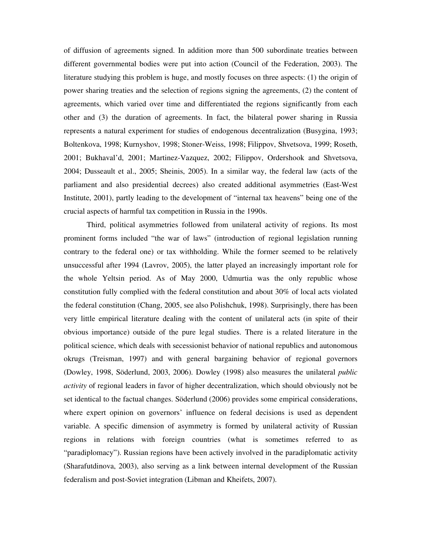of diffusion of agreements signed. In addition more than 500 subordinate treaties between different governmental bodies were put into action (Council of the Federation, 2003). The literature studying this problem is huge, and mostly focuses on three aspects: (1) the origin of power sharing treaties and the selection of regions signing the agreements, (2) the content of agreements, which varied over time and differentiated the regions significantly from each other and (3) the duration of agreements. In fact, the bilateral power sharing in Russia represents a natural experiment for studies of endogenous decentralization (Busygina, 1993; Boltenkova, 1998; Kurnyshov, 1998; Stoner-Weiss, 1998; Filippov, Shvetsova, 1999; Roseth, 2001; Bukhaval'd, 2001; Martinez-Vazquez, 2002; Filippov, Ordershook and Shvetsova, 2004; Dusseault et al., 2005; Sheinis, 2005). In a similar way, the federal law (acts of the parliament and also presidential decrees) also created additional asymmetries (East-West Institute, 2001), partly leading to the development of "internal tax heavens" being one of the crucial aspects of harmful tax competition in Russia in the 1990s.

Third, political asymmetries followed from unilateral activity of regions. Its most prominent forms included "the war of laws" (introduction of regional legislation running contrary to the federal one) or tax withholding. While the former seemed to be relatively unsuccessful after 1994 (Lavrov, 2005), the latter played an increasingly important role for the whole Yeltsin period. As of May 2000, Udmurtia was the only republic whose constitution fully complied with the federal constitution and about 30% of local acts violated the federal constitution (Chang, 2005, see also Polishchuk, 1998). Surprisingly, there has been very little empirical literature dealing with the content of unilateral acts (in spite of their obvious importance) outside of the pure legal studies. There is a related literature in the political science, which deals with secessionist behavior of national republics and autonomous okrugs (Treisman, 1997) and with general bargaining behavior of regional governors (Dowley, 1998, Söderlund, 2003, 2006). Dowley (1998) also measures the unilateral *public activity* of regional leaders in favor of higher decentralization, which should obviously not be set identical to the factual changes. Söderlund (2006) provides some empirical considerations, where expert opinion on governors' influence on federal decisions is used as dependent variable. A specific dimension of asymmetry is formed by unilateral activity of Russian regions in relations with foreign countries (what is sometimes referred to as "paradiplomacy"). Russian regions have been actively involved in the paradiplomatic activity (Sharafutdinova, 2003), also serving as a link between internal development of the Russian federalism and post-Soviet integration (Libman and Kheifets, 2007).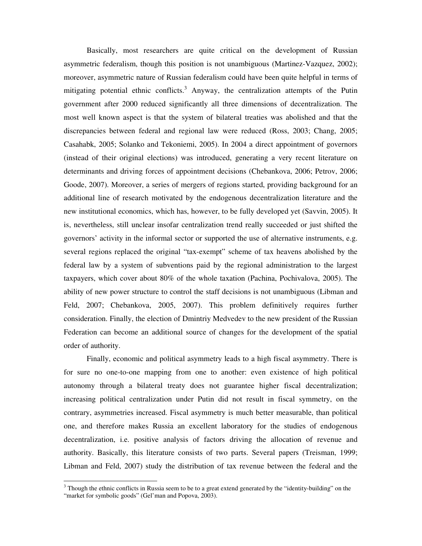Basically, most researchers are quite critical on the development of Russian asymmetric federalism, though this position is not unambiguous (Martinez-Vazquez, 2002); moreover, asymmetric nature of Russian federalism could have been quite helpful in terms of mitigating potential ethnic conflicts.<sup>3</sup> Anyway, the centralization attempts of the Putin government after 2000 reduced significantly all three dimensions of decentralization. The most well known aspect is that the system of bilateral treaties was abolished and that the discrepancies between federal and regional law were reduced (Ross, 2003; Chang, 2005; Casahabk, 2005; Solanko and Tekoniemi, 2005). In 2004 a direct appointment of governors (instead of their original elections) was introduced, generating a very recent literature on determinants and driving forces of appointment decisions (Chebankova, 2006; Petrov, 2006; Goode, 2007). Moreover, a series of mergers of regions started, providing background for an additional line of research motivated by the endogenous decentralization literature and the new institutional economics, which has, however, to be fully developed yet (Savvin, 2005). It is, nevertheless, still unclear insofar centralization trend really succeeded or just shifted the governors' activity in the informal sector or supported the use of alternative instruments, e.g. several regions replaced the original "tax-exempt" scheme of tax heavens abolished by the federal law by a system of subventions paid by the regional administration to the largest taxpayers, which cover about 80% of the whole taxation (Pachina, Pochivalova, 2005). The ability of new power structure to control the staff decisions is not unambiguous (Libman and Feld, 2007; Chebankova, 2005, 2007). This problem definitively requires further consideration. Finally, the election of Dmintriy Medvedev to the new president of the Russian Federation can become an additional source of changes for the development of the spatial order of authority.

Finally, economic and political asymmetry leads to a high fiscal asymmetry. There is for sure no one-to-one mapping from one to another: even existence of high political autonomy through a bilateral treaty does not guarantee higher fiscal decentralization; increasing political centralization under Putin did not result in fiscal symmetry, on the contrary, asymmetries increased. Fiscal asymmetry is much better measurable, than political one, and therefore makes Russia an excellent laboratory for the studies of endogenous decentralization, i.e. positive analysis of factors driving the allocation of revenue and authority. Basically, this literature consists of two parts. Several papers (Treisman, 1999; Libman and Feld, 2007) study the distribution of tax revenue between the federal and the

 $\overline{a}$ 

 $3$  Though the ethnic conflicts in Russia seem to be to a great extend generated by the "identity-building" on the "market for symbolic goods" (Gel'man and Popova, 2003).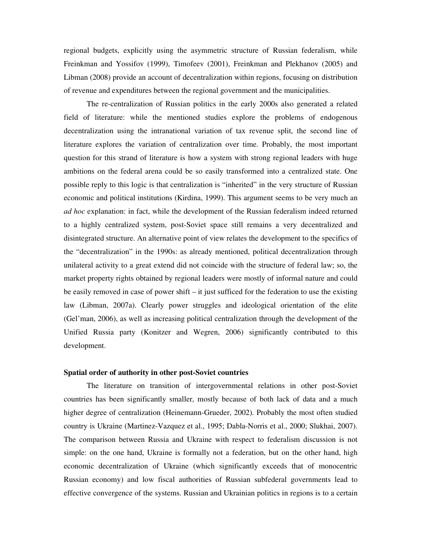regional budgets, explicitly using the asymmetric structure of Russian federalism, while Freinkman and Yossifov (1999), Timofeev (2001), Freinkman and Plekhanov (2005) and Libman (2008) provide an account of decentralization within regions, focusing on distribution of revenue and expenditures between the regional government and the municipalities.

The re-centralization of Russian politics in the early 2000s also generated a related field of literature: while the mentioned studies explore the problems of endogenous decentralization using the intranational variation of tax revenue split, the second line of literature explores the variation of centralization over time. Probably, the most important question for this strand of literature is how a system with strong regional leaders with huge ambitions on the federal arena could be so easily transformed into a centralized state. One possible reply to this logic is that centralization is "inherited" in the very structure of Russian economic and political institutions (Kirdina, 1999). This argument seems to be very much an *ad hoc* explanation: in fact, while the development of the Russian federalism indeed returned to a highly centralized system, post-Soviet space still remains a very decentralized and disintegrated structure. An alternative point of view relates the development to the specifics of the "decentralization" in the 1990s: as already mentioned, political decentralization through unilateral activity to a great extend did not coincide with the structure of federal law; so, the market property rights obtained by regional leaders were mostly of informal nature and could be easily removed in case of power shift – it just sufficed for the federation to use the existing law (Libman, 2007a). Clearly power struggles and ideological orientation of the elite (Gel'man, 2006), as well as increasing political centralization through the development of the Unified Russia party (Konitzer and Wegren, 2006) significantly contributed to this development.

#### **Spatial order of authority in other post-Soviet countries**

 The literature on transition of intergovernmental relations in other post-Soviet countries has been significantly smaller, mostly because of both lack of data and a much higher degree of centralization (Heinemann-Grueder, 2002). Probably the most often studied country is Ukraine (Martinez-Vazquez et al., 1995; Dabla-Norris et al., 2000; Slukhai, 2007). The comparison between Russia and Ukraine with respect to federalism discussion is not simple: on the one hand, Ukraine is formally not a federation, but on the other hand, high economic decentralization of Ukraine (which significantly exceeds that of monocentric Russian economy) and low fiscal authorities of Russian subfederal governments lead to effective convergence of the systems. Russian and Ukrainian politics in regions is to a certain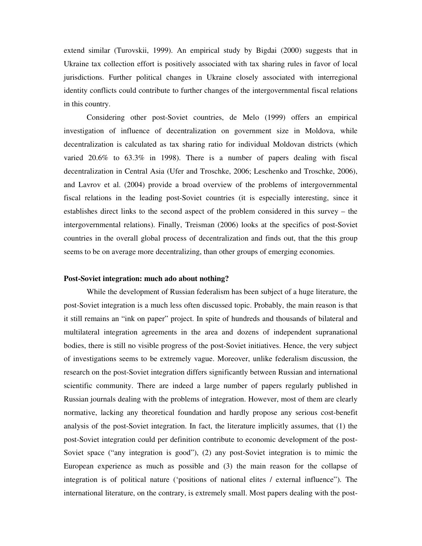extend similar (Turovskii, 1999). An empirical study by Bigdai (2000) suggests that in Ukraine tax collection effort is positively associated with tax sharing rules in favor of local jurisdictions. Further political changes in Ukraine closely associated with interregional identity conflicts could contribute to further changes of the intergovernmental fiscal relations in this country.

Considering other post-Soviet countries, de Melo (1999) offers an empirical investigation of influence of decentralization on government size in Moldova, while decentralization is calculated as tax sharing ratio for individual Moldovan districts (which varied 20.6% to 63.3% in 1998). There is a number of papers dealing with fiscal decentralization in Central Asia (Ufer and Troschke, 2006; Leschenko and Troschke, 2006), and Lavrov et al. (2004) provide a broad overview of the problems of intergovernmental fiscal relations in the leading post-Soviet countries (it is especially interesting, since it establishes direct links to the second aspect of the problem considered in this survey – the intergovernmental relations). Finally, Treisman (2006) looks at the specifics of post-Soviet countries in the overall global process of decentralization and finds out, that the this group seems to be on average more decentralizing, than other groups of emerging economies.

#### **Post-Soviet integration: much ado about nothing?**

 While the development of Russian federalism has been subject of a huge literature, the post-Soviet integration is a much less often discussed topic. Probably, the main reason is that it still remains an "ink on paper" project. In spite of hundreds and thousands of bilateral and multilateral integration agreements in the area and dozens of independent supranational bodies, there is still no visible progress of the post-Soviet initiatives. Hence, the very subject of investigations seems to be extremely vague. Moreover, unlike federalism discussion, the research on the post-Soviet integration differs significantly between Russian and international scientific community. There are indeed a large number of papers regularly published in Russian journals dealing with the problems of integration. However, most of them are clearly normative, lacking any theoretical foundation and hardly propose any serious cost-benefit analysis of the post-Soviet integration. In fact, the literature implicitly assumes, that (1) the post-Soviet integration could per definition contribute to economic development of the post-Soviet space ("any integration is good"), (2) any post-Soviet integration is to mimic the European experience as much as possible and (3) the main reason for the collapse of integration is of political nature ('positions of national elites / external influence"). The international literature, on the contrary, is extremely small. Most papers dealing with the post-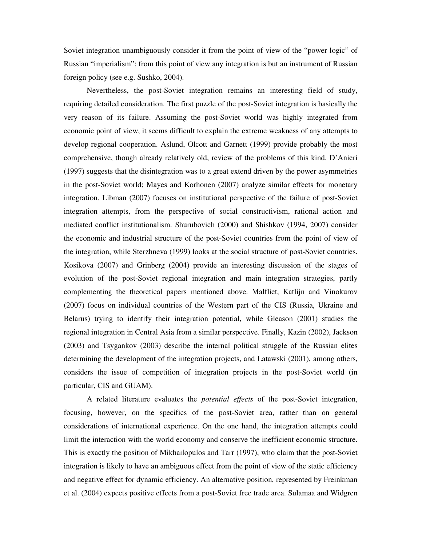Soviet integration unambiguously consider it from the point of view of the "power logic" of Russian "imperialism"; from this point of view any integration is but an instrument of Russian foreign policy (see e.g. Sushko, 2004).

 Nevertheless, the post-Soviet integration remains an interesting field of study, requiring detailed consideration. The first puzzle of the post-Soviet integration is basically the very reason of its failure. Assuming the post-Soviet world was highly integrated from economic point of view, it seems difficult to explain the extreme weakness of any attempts to develop regional cooperation. Aslund, Olcott and Garnett (1999) provide probably the most comprehensive, though already relatively old, review of the problems of this kind. D'Anieri (1997) suggests that the disintegration was to a great extend driven by the power asymmetries in the post-Soviet world; Mayes and Korhonen (2007) analyze similar effects for monetary integration. Libman (2007) focuses on institutional perspective of the failure of post-Soviet integration attempts, from the perspective of social constructivism, rational action and mediated conflict institutionalism. Shurubovich (2000) and Shishkov (1994, 2007) consider the economic and industrial structure of the post-Soviet countries from the point of view of the integration, while Sterzhneva (1999) looks at the social structure of post-Soviet countries. Kosikova (2007) and Grinberg (2004) provide an interesting discussion of the stages of evolution of the post-Soviet regional integration and main integration strategies, partly complementing the theoretical papers mentioned above. Malfliet, Katlijn and Vinokurov (2007) focus on individual countries of the Western part of the CIS (Russia, Ukraine and Belarus) trying to identify their integration potential, while Gleason (2001) studies the regional integration in Central Asia from a similar perspective. Finally, Kazin (2002), Jackson (2003) and Tsygankov (2003) describe the internal political struggle of the Russian elites determining the development of the integration projects, and Latawski (2001), among others, considers the issue of competition of integration projects in the post-Soviet world (in particular, CIS and GUAM).

A related literature evaluates the *potential effects* of the post-Soviet integration, focusing, however, on the specifics of the post-Soviet area, rather than on general considerations of international experience. On the one hand, the integration attempts could limit the interaction with the world economy and conserve the inefficient economic structure. This is exactly the position of Mikhailopulos and Tarr (1997), who claim that the post-Soviet integration is likely to have an ambiguous effect from the point of view of the static efficiency and negative effect for dynamic efficiency. An alternative position, represented by Freinkman et al. (2004) expects positive effects from a post-Soviet free trade area. Sulamaa and Widgren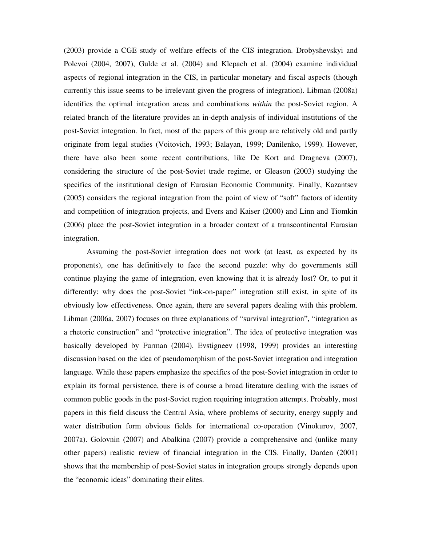(2003) provide a CGE study of welfare effects of the CIS integration. Drobyshevskyi and Polevoi (2004, 2007), Gulde et al. (2004) and Klepach et al. (2004) examine individual aspects of regional integration in the CIS, in particular monetary and fiscal aspects (though currently this issue seems to be irrelevant given the progress of integration). Libman (2008a) identifies the optimal integration areas and combinations *within* the post-Soviet region. A related branch of the literature provides an in-depth analysis of individual institutions of the post-Soviet integration. In fact, most of the papers of this group are relatively old and partly originate from legal studies (Voitovich, 1993; Balayan, 1999; Danilenko, 1999). However, there have also been some recent contributions, like De Kort and Dragneva (2007), considering the structure of the post-Soviet trade regime, or Gleason (2003) studying the specifics of the institutional design of Eurasian Economic Community. Finally, Kazantsev (2005) considers the regional integration from the point of view of "soft" factors of identity and competition of integration projects, and Evers and Kaiser (2000) and Linn and Tiomkin (2006) place the post-Soviet integration in a broader context of a transcontinental Eurasian integration.

 Assuming the post-Soviet integration does not work (at least, as expected by its proponents), one has definitively to face the second puzzle: why do governments still continue playing the game of integration, even knowing that it is already lost? Or, to put it differently: why does the post-Soviet "ink-on-paper" integration still exist, in spite of its obviously low effectiveness. Once again, there are several papers dealing with this problem. Libman (2006a, 2007) focuses on three explanations of "survival integration", "integration as a rhetoric construction" and "protective integration". The idea of protective integration was basically developed by Furman (2004). Evstigneev (1998, 1999) provides an interesting discussion based on the idea of pseudomorphism of the post-Soviet integration and integration language. While these papers emphasize the specifics of the post-Soviet integration in order to explain its formal persistence, there is of course a broad literature dealing with the issues of common public goods in the post-Soviet region requiring integration attempts. Probably, most papers in this field discuss the Central Asia, where problems of security, energy supply and water distribution form obvious fields for international co-operation (Vinokurov, 2007, 2007a). Golovnin (2007) and Abalkina (2007) provide a comprehensive and (unlike many other papers) realistic review of financial integration in the CIS. Finally, Darden (2001) shows that the membership of post-Soviet states in integration groups strongly depends upon the "economic ideas" dominating their elites.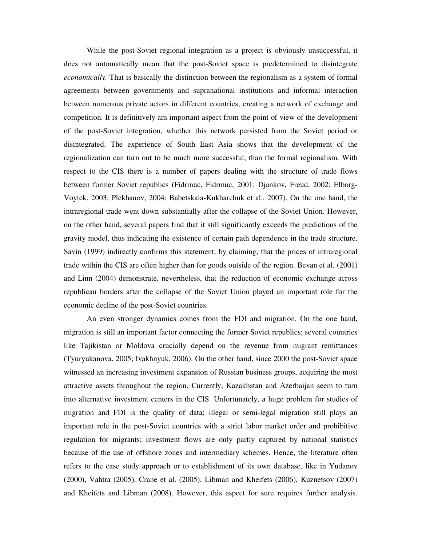While the post-Soviet regional integration as a project is obviously unsuccessful, it does not automatically mean that the post-Soviet space is predetermined to disintegrate *economically.* That is basically the distinction between the regionalism as a system of formal agreements between governments and supranational institutions and informal interaction between numerous private actors in different countries, creating a network of exchange and competition. It is definitively am important aspect from the point of view of the development of the post-Soviet integration, whether this network persisted from the Soviet period or disintegrated. The experience of South East Asia shows that the development of the regionalization can turn out to be much more successful, than the formal regionalism. With respect to the CIS there is a number of papers dealing with the structure of trade flows between former Soviet republics (Fidrmuc, Fidrmuc, 2001; Djankov, Freud, 2002; Elborg-Voytek, 2003; Plekhanov, 2004; Babetskaia-Kukharchuk et al., 2007). On the one hand, the intraregional trade went down substantially after the collapse of the Soviet Union. However, on the other hand, several papers find that it still significantly exceeds the predictions of the gravity model, thus indicating the existence of certain path dependence in the trade structure. Savin (1999) indirectly confirms this statement, by claiming, that the prices of intraregional trade within the CIS are often higher than for goods outside of the region. Bevan et al. (2001) and Linn (2004) demonstrate, nevertheless, that the reduction of economic exchange across republican borders after the collapse of the Soviet Union played an important role for the economic decline of the post-Soviet countries.

An even stronger dynamics comes from the FDI and migration. On the one hand, migration is still an important factor connecting the former Soviet republics; several countries like Tajikistan or Moldova crucially depend on the revenue from migrant remittances (Tyuryukanova, 2005; Ivakhnyuk, 2006). On the other hand, since 2000 the post-Soviet space witnessed an increasing investment expansion of Russian business groups, acquiring the most attractive assets throughout the region. Currently, Kazakhstan and Azerbaijan seem to turn into alternative investment centers in the CIS. Unfortunately, a huge problem for studies of migration and FDI is the quality of data; illegal or semi-legal migration still plays an important role in the post-Soviet countries with a strict labor market order and prohibitive regulation for migrants; investment flows are only partly captured by national statistics because of the use of offshore zones and intermediary schemes. Hence, the literature often refers to the case study approach or to establishment of its own database, like in Yudanov (2000), Vahtra (2005), Crane et al. (2005), Libman and Kheifets (2006), Kuznetsov (2007) and Kheifets and Libman (2008). However, this aspect for sure requires further analysis.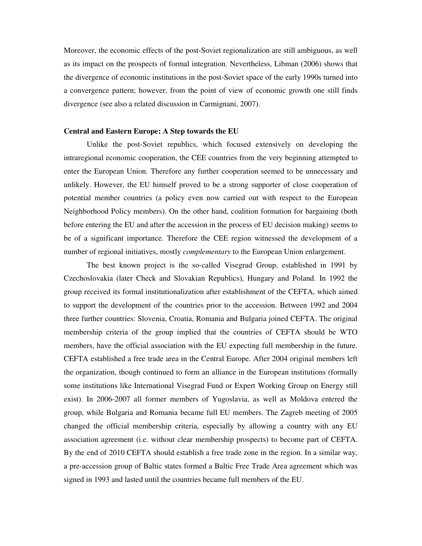Moreover, the economic effects of the post-Soviet regionalization are still ambiguous, as well as its impact on the prospects of formal integration. Nevertheless, Libman (2006) shows that the divergence of economic institutions in the post-Soviet space of the early 1990s turned into a convergence pattern; however, from the point of view of economic growth one still finds divergence (see also a related discussion in Carmignani, 2007).

#### **Central and Eastern Europe: A Step towards the EU**

Unlike the post-Soviet republics, which focused extensively on developing the intraregional economic cooperation, the CEE countries from the very beginning attempted to enter the European Union. Therefore any further cooperation seemed to be unnecessary and unlikely. However, the EU himself proved to be a strong supporter of close cooperation of potential member countries (a policy even now carried out with respect to the European Neighborhood Policy members). On the other hand, coalition formation for bargaining (both before entering the EU and after the accession in the process of EU decision making) seems to be of a significant importance. Therefore the CEE region witnessed the development of a number of regional initiatives, mostly *complementary* to the European Union enlargement.

The best known project is the so-called Visegrad Group, established in 1991 by Czechoslovakia (later Check and Slovakian Republics), Hungary and Poland. In 1992 the group received its formal institutionalization after establishment of the CEFTA, which aimed to support the development of the countries prior to the accession. Between 1992 and 2004 three further countries: Slovenia, Croatia, Romania and Bulgaria joined CEFTA. The original membership criteria of the group implied that the countries of CEFTA should be WTO members, have the official association with the EU expecting full membership in the future. CEFTA established a free trade area in the Central Europe. After 2004 original members left the organization, though continued to form an alliance in the European institutions (formally some institutions like International Visegrad Fund or Expert Working Group on Energy still exist). In 2006-2007 all former members of Yugoslavia, as well as Moldova entered the group, while Bulgaria and Romania became full EU members. The Zagreb meeting of 2005 changed the official membership criteria, especially by allowing a country with any EU association agreement (i.e. without clear membership prospects) to become part of CEFTA. By the end of 2010 CEFTA should establish a free trade zone in the region. In a similar way, a pre-accession group of Baltic states formed a Baltic Free Trade Area agreement which was signed in 1993 and lasted until the countries became full members of the EU.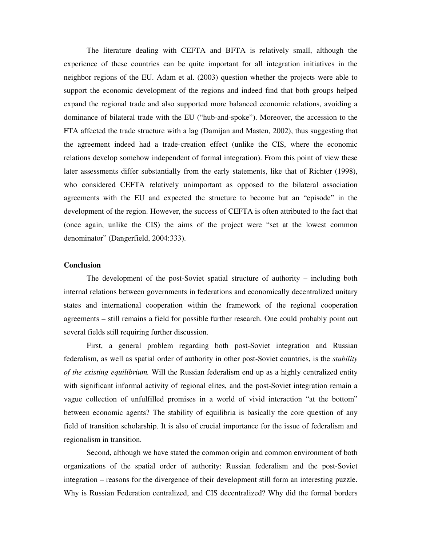The literature dealing with CEFTA and BFTA is relatively small, although the experience of these countries can be quite important for all integration initiatives in the neighbor regions of the EU. Adam et al. (2003) question whether the projects were able to support the economic development of the regions and indeed find that both groups helped expand the regional trade and also supported more balanced economic relations, avoiding a dominance of bilateral trade with the EU ("hub-and-spoke"). Moreover, the accession to the FTA affected the trade structure with a lag (Damijan and Masten, 2002), thus suggesting that the agreement indeed had a trade-creation effect (unlike the CIS, where the economic relations develop somehow independent of formal integration). From this point of view these later assessments differ substantially from the early statements, like that of Richter (1998), who considered CEFTA relatively unimportant as opposed to the bilateral association agreements with the EU and expected the structure to become but an "episode" in the development of the region. However, the success of CEFTA is often attributed to the fact that (once again, unlike the CIS) the aims of the project were "set at the lowest common denominator" (Dangerfield, 2004:333).

# **Conclusion**

The development of the post-Soviet spatial structure of authority – including both internal relations between governments in federations and economically decentralized unitary states and international cooperation within the framework of the regional cooperation agreements – still remains a field for possible further research. One could probably point out several fields still requiring further discussion.

First, a general problem regarding both post-Soviet integration and Russian federalism, as well as spatial order of authority in other post-Soviet countries, is the *stability of the existing equilibrium.* Will the Russian federalism end up as a highly centralized entity with significant informal activity of regional elites, and the post-Soviet integration remain a vague collection of unfulfilled promises in a world of vivid interaction "at the bottom" between economic agents? The stability of equilibria is basically the core question of any field of transition scholarship. It is also of crucial importance for the issue of federalism and regionalism in transition.

Second, although we have stated the common origin and common environment of both organizations of the spatial order of authority: Russian federalism and the post-Soviet integration – reasons for the divergence of their development still form an interesting puzzle. Why is Russian Federation centralized, and CIS decentralized? Why did the formal borders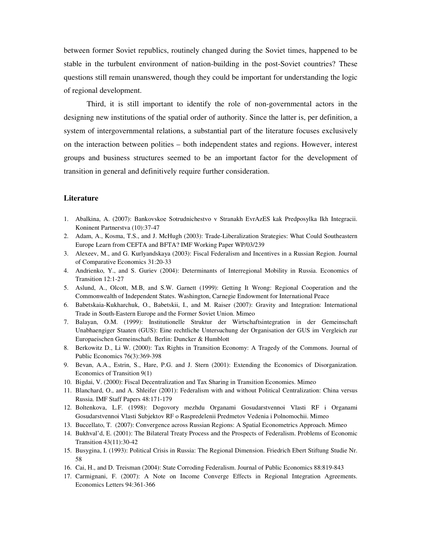between former Soviet republics, routinely changed during the Soviet times, happened to be stable in the turbulent environment of nation-building in the post-Soviet countries? These questions still remain unanswered, though they could be important for understanding the logic of regional development.

Third, it is still important to identify the role of non-governmental actors in the designing new institutions of the spatial order of authority. Since the latter is, per definition, a system of intergovernmental relations, a substantial part of the literature focuses exclusively on the interaction between polities – both independent states and regions. However, interest groups and business structures seemed to be an important factor for the development of transition in general and definitively require further consideration.

### **Literature**

- 1. Abalkina, A. (2007): Bankovskoe Sotrudnichestvo v Stranakh EvrAzES kak Predposylka Ikh Integracii. Koninent Partnerstva (10):37-47
- 2. Adam, A., Kosma, T.S., and J. McHugh (2003): Trade-Liberalization Strategies: What Could Southeastern Europe Learn from CEFTA and BFTA? IMF Working Paper WP/03/239
- 3. Alexeev, M., and G. Kurlyandskaya (2003): Fiscal Federalism and Incentives in a Russian Region. Journal of Comparative Economics 31:20-33
- 4. Andrienko, Y., and S. Guriev (2004): Determinants of Interregional Mobility in Russia. Economics of Transition 12:1-27
- 5. Aslund, A., Olcott, M.B, and S.W. Garnett (1999): Getting It Wrong: Regional Cooperation and the Commonwealth of Independent States. Washington, Carnegie Endowment for International Peace
- 6. Babetskaia-Kukharchuk, O., Babetskii, I., and M. Raiser (2007): Gravity and Integration: International Trade in South-Eastern Europe and the Former Soviet Union. Mimeo
- 7. Balayan, O.M. (1999): Institutionelle Struktur der Wirtschaftsintegration in der Gemeinschaft Unabhaengiger Staaten (GUS): Eine rechtliche Untersuchung der Organisation der GUS im Vergleich zur Europaeischen Gemeinschaft. Berlin: Duncker & Humblott
- 8. Berkowitz D., Li W. (2000): Tax Rights in Transition Economy: A Tragedy of the Commons. Journal of Public Economics 76(3):369-398
- 9. Bevan, A.A., Estrin, S., Hare, P.G. and J. Stern (2001): Extending the Economics of Disorganization. Economics of Transition 9(1)
- 10. Bigdai, V. (2000): Fiscal Decentralization and Tax Sharing in Transition Economies. Mimeo
- 11. Blanchard, O., and A. Shleifer (2001): Federalism with and without Political Centralization: China versus Russia. IMF Staff Papers 48:171-179
- 12. Boltenkova, L.F. (1998): Dogovory mezhdu Organami Gosudarstvennoi Vlasti RF i Organami Gosudarstvennoi Vlasti Subjektov RF o Raspredelenii Predmetov Vedenia i Polnomochii. Mimeo
- 13. Buccellato, T. (2007): Convergence across Russian Regions: A Spatial Econometrics Approach. Mimeo
- 14. Bukhval'd, E. (2001): The Bilateral Treaty Process and the Prospects of Federalism. Problems of Economic Transition 43(11):30-42
- 15. Busygina, I. (1993): Political Crisis in Russia: The Regional Dimension. Friedrich Ebert Stiftung Studie Nr. 58
- 16. Cai, H., and D. Treisman (2004): State Corroding Federalism. Journal of Public Economics 88:819-843
- 17. Carmignani, F. (2007): A Note on Income Converge Effects in Regional Integration Agreements. Economics Letters 94:361-366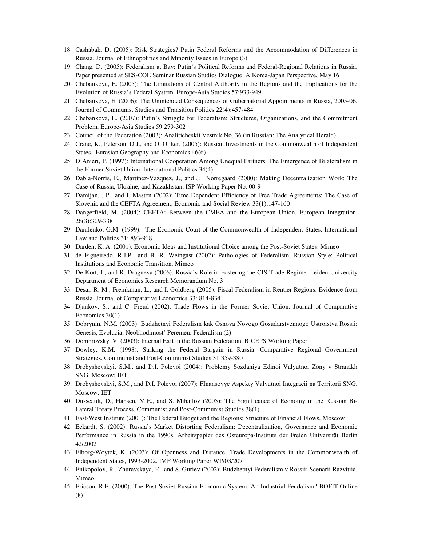- 18. Cashabak, D. (2005): Risk Strategies? Putin Federal Reforms and the Accommodation of Differences in Russia. Journal of Ethnopolitics and Minority Issues in Europe (3)
- 19. Chang, D. (2005): Federalism at Bay: Putin's Political Reforms and Federal-Regional Relations in Russia. Paper presented at SES-COE Seminar Russian Studies Dialogue: A Korea-Japan Perspective, May 16
- 20. Chebankova, E. (2005): The Limitations of Central Authority in the Regions and the Implications for the Evolution of Russia's Federal System. Europe-Asia Studies 57:933-949
- 21. Chebankova, E. (2006): The Unintended Consequences of Gubernatorial Appointments in Russia, 2005-06. Journal of Communist Studies and Transition Politics 22(4):457-484
- 22. Chebankova, E. (2007): Putin's Struggle for Federalism: Structures, Organizations, and the Commitment Problem. Europe-Asia Studies 59:279-302
- 23. Council of the Federation (2003): Analiticheskii Vestnik No. 36 (in Russian: The Analytical Herald)
- 24. Crane, K., Peterson, D.J., and O. Oliker, (2005): Russian Investments in the Commonwealth of Independent States. Eurasian Geography and Economics 46(6)
- 25. D'Anieri, P. (1997): International Cooperation Among Unequal Partners: The Emergence of Bilateralism in the Former Soviet Union. International Politics 34(4)
- 26. Dabla-Norris, E., Martinez-Vazquez, J., and J. Norregaard (2000): Making Decentralization Work: The Case of Russia, Ukraine, and Kazakhstan. ISP Working Paper No. 00-9
- 27. Damijan, J.P., and I. Masten (2002): Time Dependent Efficiency of Free Trade Agreements: The Case of Slovenia and the CEFTA Agreement. Economic and Social Review 33(1):147-160
- 28. Dangerfield, M. (2004): CEFTA: Between the CMEA and the European Union. European Integration, 26(3):309-338
- 29. Danilenko, G.M. (1999): The Economic Court of the Commonwealth of Independent States. International Law and Politics 31: 893-918
- 30. Darden, K. A. (2001): Economic Ideas and Institutional Choice among the Post-Soviet States. Mimeo
- 31. de Figueiredo, R.J.P., and B. R. Weingast (2002): Pathologies of Federalism, Russian Style: Political Institutions and Economic Transition. Mimeo
- 32. De Kort, J., and R. Dragneva (2006): Russia's Role in Fostering the CIS Trade Regime. Leiden University Department of Economics Research Memorandum No. 3
- 33. Desai, R. M., Freinkman, L., and I. Goldberg (2005): Fiscal Federalism in Rentier Regions: Evidence from Russia. Journal of Comparative Economics 33: 814-834
- 34. Djankov, S., and C. Freud (2002): Trade Flows in the Former Soviet Union. Journal of Comparative Economics 30(1)
- 35. Dobrynin, N.M. (2003): Budzhetnyi Federalism kak Osnova Novogo Gosudarstvennogo Ustroistva Rossii: Genesis, Evolucia, Neobhodimost' Peremen. Federalism (2)
- 36. Dombrovsky, V. (2003): Internal Exit in the Russian Federation. BICEPS Working Paper
- 37. Dowley, K.M. (1998): Striking the Federal Bargain in Russia: Comparative Regional Government Strategies. Communist and Post-Communist Studies 31:359-380
- 38. Drobyshevskyi, S.M., and D.I. Polevoi (2004): Problemy Sozdaniya Edinoi Valyutnoi Zony v Stranakh SNG. Moscow: IET
- 39. Drobyshevskyi, S.M., and D.I. Polevoi (2007): FInansovye Aspekty Valyutnoi Integracii na Territorii SNG. Moscow: IET
- 40. Dusseault, D., Hansen, M.E., and S. Mihailov (2005): The Significance of Economy in the Russian Bi-Lateral Treaty Process. Communist and Post-Communist Studies 38(1)
- 41. East-West Institute (2001): The Federal Budget and the Regions: Structure of Financial Flows, Moscow
- 42. Eckardt, S. (2002): Russia's Market Distorting Federalism: Decentralization, Governance and Economic Performance in Russia in the 1990s. Arbeitspapier des Osteuropa-Instituts der Freien Universität Berlin 42/2002
- 43. Elborg-Woytek, K. (2003): Of Openness and Distance: Trade Developments in the Commonwealth of Independent States, 1993-2002. IMF Working Paper WP/03/207
- 44. Enikopolov, R., Zhuravskaya, E., and S. Guriev (2002): Budzhetnyi Federalism v Rossii: Scenarii Razvitiia. Mimeo
- 45. Ericson, R.E. (2000): The Post-Soviet Russian Economic System: An Industrial Feudalism? BOFIT Online (8)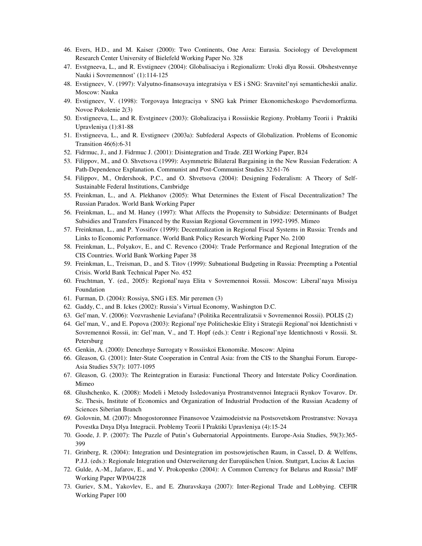- 46. Evers, H.D., and M. Kaiser (2000): Two Continents, One Area: Eurasia. Sociology of Development Research Center University of Bielefeld Working Paper No. 328
- 47. Evstgneeva, L., and R. Evstigneev (2004): Globalisaciya i Regionalizm: Uroki dlya Rossii. Obshestvennye Nauki i Sovremennost' (1):114-125
- 48. Evstigneev, V. (1997): Valyutno-finansovaya integratsiya v ES i SNG: Sravnitel'nyi semanticheskii analiz. Moscow: Nauka
- 49. Evstigneev, V. (1998): Torgovaya Integraciya v SNG kak Primer Ekonomicheskogo Psevdomorfizma. Novoe Pokolenie 2(3)
- 50. Evstigneeva, L., and R. Evstgineev (2003): Globalizaciya i Rossiiskie Regiony. Problamy Teorii i Praktiki Upravleniya (1):81-88
- 51. Evstigneeva, L., and R. Evstigneev (2003a): Subfederal Aspects of Globalization. Problems of Economic Transition 46(6):6-31
- 52. Fidrmuc, J., and J. Fidrmuc J. (2001): Disintegration and Trade. ZEI Working Paper, B24
- 53. Filippov, M., and O. Shvetsova (1999): Asymmetric Bilateral Bargaining in the New Russian Federation: A Path-Dependence Explanation. Communist and Post-Communist Studies 32:61-76
- 54. Filippov, M., Ordershook, P.C., and O. Shvetsova (2004): Designing Federalism: A Theory of Self-Sustainable Federal Institutions, Cambridge
- 55. Freinkman, L., and A. Plekhanov (2005): What Determines the Extent of Fiscal Decentralization? The Russian Paradox. World Bank Working Paper
- 56. Freinkman, L., and M. Haney (1997): What Affects the Propensity to Subsidize: Determinants of Budget Subsidies and Transfers Financed by the Russian Regional Government in 1992-1995. Mimeo
- 57. Freinkman, L., and P. Yossifov (1999): Decentralization in Regional Fiscal Systems in Russia: Trends and Links to Economic Performance. World Bank Policy Research Working Paper No. 2100
- 58. Freinkman, L., Polyakov, E., and C. Revenco (2004): Trade Performance and Regional Integration of the CIS Countries. World Bank Working Paper 38
- 59. Freinkman, L., Treisman, D., and S. Titov (1999): Subnational Budgeting in Russia: Preempting a Potential Crisis. World Bank Technical Paper No. 452
- 60. Fruchtman, Y. (ed., 2005): Regional'naya Elita v Sovremennoi Rossii. Moscow: Liberal'naya Missiya Foundation
- 61. Furman, D. (2004): Rossiya, SNG i ES. Mir peremen (3)
- 62. Gaddy, C., and B. Ickes (2002): Russia's Virtual Economy, Washington D.C.
- 63. Gel'man, V. (2006): Vozvrashenie Leviafana? (Politika Recentralizatsii v Sovremennoi Rossii). POLIS (2)
- 64. Gel'man, V., and E. Popova (2003): Regional'nye Politicheskie Elity i Strategii Regional'noi Identichnisti v Sovremennoi Rossii, in: Gel'man, V., and T. Hopf (eds.): Centr i Regional'nye Identichnosti v Rossii. St. Petersburg
- 65. Genkin, A. (2000): Denezhnye Surrogaty v Rossiiskoi Ekonomike. Moscow: Alpina
- 66. Gleason, G. (2001): Inter-State Cooperation in Central Asia: from the CIS to the Shanghai Forum. Europe-Asia Studies 53(7): 1077-1095
- 67. Gleason, G. (2003): The Reintegration in Eurasia: Functional Theory and Interstate Policy Coordination. Mimeo
- 68. Glushchenko, K. (2008): Modeli i Metody Issledovaniya Prostranstvennoi Integracii Rynkov Tovarov. Dr. Sc. Thesis, Institute of Economics and Organization of Industrial Production of the Russian Academy of Sciences Siberian Branch
- 69. Golovnin, M. (2007): Mnogostoronnee Finansovoe Vzaimodeistvie na Postsovetskom Prostranstve: Novaya Povestka Dnya Dlya Integracii. Problemy Teorii I Praktiki Upravleniya (4):15-24
- 70. Goode, J. P. (2007): The Puzzle of Putin's Gubernatorial Appointments. Europe-Asia Studies, 59(3):365- 399
- 71. Grinberg, R. (2004): Integration und Desintegration im postsowjetischen Raum, in Cassel, D. & Welfens, P.J.J. (eds.): Regionale Integration und Osterweiterung der Europäischen Union. Stuttgart, Lucius & Lucius
- 72. Gulde, A.-M., Jafarov, E., and V. Prokopenko (2004): A Common Currency for Belarus and Russia? IMF Working Paper WP/04/228
- 73. Guriev, S.M., Yakovlev, E., and E. Zhuravskaya (2007): Inter-Regional Trade and Lobbying. CEFIR Working Paper 100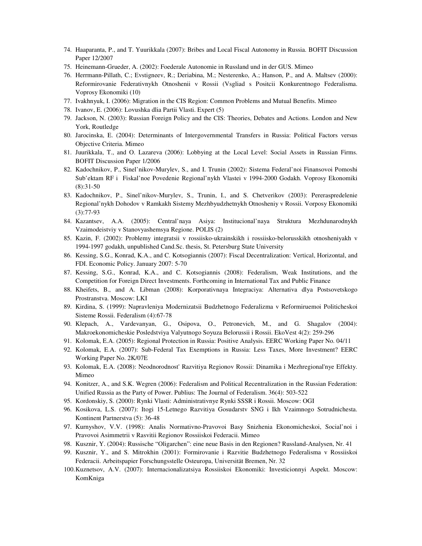- 74. Haaparanta, P., and T. Yuurikkala (2007): Bribes and Local Fiscal Autonomy in Russia. BOFIT Discussion Paper 12/2007
- 75. Heinemann-Grueder, A. (2002): Foederale Autonomie in Russland und in der GUS. Mimeo
- 76. Herrmann-Pillath, C.; Evstigneev, R.; Deriabina, M.; Nesterenko, A.; Hanson, P., and A. Maltsev (2000): Reformirovanie Federativnykh Otnoshenii v Rossii (Vsgliad s Positcii Konkurentnogo Federalisma. Voprosy Ekonomiki (10)
- 77. Ivakhnyuk, I. (2006): Migration in the CIS Region: Common Problems and Mutual Benefits. Mimeo
- 78. Ivanov, E. (2006): Lovushka dlia Partii Vlasti. Expert (5)
- 79. Jackson, N. (2003): Russian Foreign Policy and the CIS: Theories, Debates and Actions. London and New York, Routledge
- 80. Jarocinska, E. (2004): Determinants of Intergovernmental Transfers in Russia: Political Factors versus Objective Criteria. Mimeo
- 81. Juurikkala, T., and O. Lazareva (2006): Lobbying at the Local Level: Social Assets in Russian Firms. BOFIT Discussion Paper 1/2006
- 82. Kadochnikov, P., Sinel'nikov-Murylev, S., and I. Trunin (2002): Sistema Federal'noi Finansovoi Pomoshi Sub'ektam RF i Fiskal'noe Povedenie Regional'nykh Vlastei v 1994-2000 Godakh. Voprosy Ekonomiki (8):31-50
- 83. Kadochnikov, P., Sinel'nikov-Murylev, S., Trunin, I., and S. Chetverikov (2003): Pereraspredelenie Regional'nykh Dohodov v Ramkakh Sistemy Mezhbyudzhetnykh Otnosheniy v Rossii. Vorposy Ekonomiki (3):77-93
- 84. Kazantsev, A.A. (2005): Central'naya Asiya: Institucional'naya Struktura Mezhdunarodnykh Vzaimodeistviy v Stanovyashemsya Regione. POLIS (2)
- 85. Kazin, F. (2002): Problemy integratsii v rossiisko-ukrainskikh i rossiisko-belorusskikh otnosheniyakh v 1994-1997 godakh, unpublished Cand.Sc. thesis, St. Petersburg State University
- 86. Kessing, S.G., Konrad, K.A., and C. Kotsogiannis (2007): Fiscal Decentralization: Vertical, Horizontal, and FDI. Economic Policy. January 2007: 5-70
- 87. Kessing, S.G., Konrad, K.A., and C. Kotsogiannis (2008): Federalism, Weak Institutions, and the Competition for Foreign Direct Investments. Forthcoming in International Tax and Public Finance
- 88. Kheifets, B., and A. Libman (2008): Korporativnaya Integraciya: Alternativa dlya Postsovetskogo Prostranstva. Moscow: LKI
- 89. Kirdina, S. (1999): Napravleniya Modernizatsii Budzhetnogo Federalizma v Reformiruemoi Politicheskoi Sisteme Rossii. Federalism (4):67-78
- 90. Klepach, A., Vardevanyan, G., Osipova, O., Petronevich, M., and G. Shagalov (2004): Makroekonomicheskie Posledstviya Valyutnogo Soyuza Belorussii i Rossii. EkoVest 4(2): 259-296
- 91. Kolomak, E.A. (2005): Regional Protection in Russia: Positive Analysis. EERC Working Paper No. 04/11
- 92. Kolomak, E.A. (2007): Sub-Federal Tax Exemptions in Russia: Less Taxes, More Investment? EERC Working Paper No. 2K/07E
- 93. Kolomak, E.A. (2008): Neodnorodnost' Razvitiya Regionov Rossii: Dinamika i Mezhregional'nye Effekty. Mimeo
- 94. Konitzer, A., and S.K. Wegren (2006): Federalism and Political Recentralization in the Russian Federation: Unified Russia as the Party of Power. Publius: The Journal of Federalism. 36(4): 503-522
- 95. Kordonskiy, S. (2000): Rynki Vlasti: Administrativnye Rynki SSSR i Rossii. Moscow: OGI
- 96. Kosikova, L.S. (2007): Itogi 15-Letnego Razvitiya Gosudarstv SNG i Ikh Vzaimnogo Sotrudnichesta. Kontinent Partnerstva (5): 36-48
- 97. Kurnyshov, V.V. (1998): Analis Normativno-Pravovoi Basy Snizhenia Ekonomicheskoi, Social'noi i Pravovoi Asimmetrii v Rasvitii Regionov Rossiiskoi Federacii. Mimeo
- 98. Kusznir, Y. (2004): Russische "Oligarchen": eine neue Basis in den Regionen? Russland-Analysen, Nr. 41
- 99. Kusznir, Y., and S. Mitrokhin (2001): Formirovanie i Razvitie Budzhetnogo Federalisma v Rossiiskoi Federacii. Arbeitspapier Forschungsstelle Osteuropa, Universität Bremen, Nr. 32
- 100.Kuznetsov, A.V. (2007): Internacionalizatsiya Rossiiskoi Ekonomiki: Investicionnyi Aspekt. Moscow: KomKniga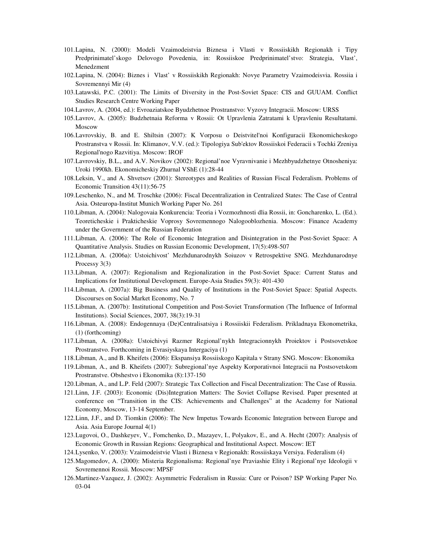- 101.Lapina, N. (2000): Modeli Vzaimodeistvia Biznesa i Vlasti v Rossiiskikh Regionakh i Tipy Predprinimatel'skogo Delovogo Povedenia, in: Rossiiskoe Predprinimatel'stvo: Strategia, Vlast', Menedzment
- 102.Lapina, N. (2004): Biznes i Vlast' v Rossiiskikh Regionakh: Novye Parametry Vzaimodeisvia. Rossiia i Sovremennyi Mir (4)
- 103.Latawski, P.C. (2001): The Limits of Diversity in the Post-Soviet Space: CIS and GUUAM. Conflict Studies Research Centre Working Paper
- 104.Lavrov, A. (2004, ed.): Evroaziatskoe Byudzhetnoe Prostranstvo: Vyzovy Integracii. Moscow: URSS
- 105.Lavrov, A. (2005): Budzhetnaia Reforma v Rossii: Ot Upravlenia Zatratami k Upravleniu Resultatami. Moscow
- 106.Lavrovskiy, B. and E. Shiltsin (2007): K Vorposu o Deistvitel'noi Konfiguracii Ekonomicheskogo Prostranstva v Rossii. In: Klimanov, V.V. (ed.): Tipologiya Sub'ektov Rossiiskoi Federacii s Tochki Zreniya Regional'nogo Razvitiya. Moscow: IROF
- 107.Lavrovskiy, B.L., and A.V. Novikov (2002): Regional'noe Vyravnivanie i Mezhbyudzhetnye Otnosheniya: Uroki 1990kh. Ekonomicheskiy Zhurnal VShE (1):28-44
- 108.Leksin, V., and A. Shvetsov (2001): Stereotypes and Realities of Russian Fiscal Federalism. Problems of Economic Transition 43(11):56-75
- 109.Leschenko, N., and M. Troschke (2006): Fiscal Decentralization in Centralized States: The Case of Central Asia. Osteuropa-Institut Munich Working Paper No. 261
- 110.Libman, A. (2004): Nalogovaia Konkurencia: Teoria i Vozmozhnosti dlia Rossii, in: Goncharenko, L. (Ed.). Teoreticheskie i Prakticheskie Voprosy Sovremennogo Nalogooblozhenia. Moscow: Finance Academy under the Government of the Russian Federation
- 111.Libman, A. (2006): The Role of Economic Integration and Disintegration in the Post-Soviet Space: A Quantitative Analysis. Studies on Russian Economic Development, 17(5):498-507
- 112.Libman, A. (2006a): Ustoichivost' Mezhdunarodnykh Soiuzov v Retrospektive SNG. Mezhdunarodnye Processy 3(3)
- 113.Libman, A. (2007): Regionalism and Regionalization in the Post-Soviet Space: Current Status and Implications for Institutional Development. Europe-Asia Studies 59(3): 401-430
- 114.Libman, A. (2007a): Big Business and Quality of Institutions in the Post-Soviet Space: Spatial Aspects. Discourses on Social Market Economy, No. 7
- 115.Libman, A. (2007b): Institutional Competition and Post-Soviet Transformation (The Influence of Informal Institutions). Social Sciences, 2007, 38(3):19-31
- 116.Libman, A. (2008): Endogennaya (De)Centralisatsiya i Rossiiskii Federalism. Prikladnaya Ekonometrika, (1) (forthcoming)
- 117.Libman, A. (2008a): Ustoichivyi Razmer Regional'nykh Integracionnykh Proiektov i Postsovetskoe Prostranstvo. Forthcoming in Evrasiyskaya Intergaciya (1)
- 118.Libman, A., and B. Kheifets (2006): Ekspansiya Rossiiskogo Kapitala v Strany SNG. Moscow: Ekonomika
- 119.Libman, A., and B. Kheifets (2007): Subregional'nye Aspekty Korporativnoi Integracii na Postsovetskom Prostranstve. Obshestvo i Ekonomika (8):137-150
- 120.Libman, A., and L.P. Feld (2007): Strategic Tax Collection and Fiscal Decentralization: The Case of Russia.
- 121.Linn, J.F. (2003): Economic (Dis)Integration Matters: The Soviet Collapse Revised. Paper presented at conference on "Transition in the CIS: Achievements and Challenges" at the Academy for National Economy, Moscow, 13-14 September.
- 122.Linn, J.F., and D. Tiomkin (2006): The New Impetus Towards Economic Integration between Europe and Asia. Asia Europe Journal 4(1)
- 123.Lugovoi, O., Dashkeyev, V., Fomchenko, D., Mazayev, I., Polyakov, E., and A. Hecht (2007): Analysis of Economic Growth in Russian Regions: Geographical and Institutional Aspect. Moscow: IET
- 124.Lysenko, V. (2003): Vzaimodeistvie Vlasti i Biznesa v Regionakh: Rossiiskaya Versiya. Federalism (4)
- 125.Magomedov, A. (2000): Misteria Regionalisma: Regional'nye Praviashie Elity i Regional'nye Ideologii v Sovremennoi Rossii. Moscow: MPSF
- 126.Martinez-Vazquez, J. (2002): Asymmetric Federalism in Russia: Cure or Poison? ISP Working Paper No. 03-04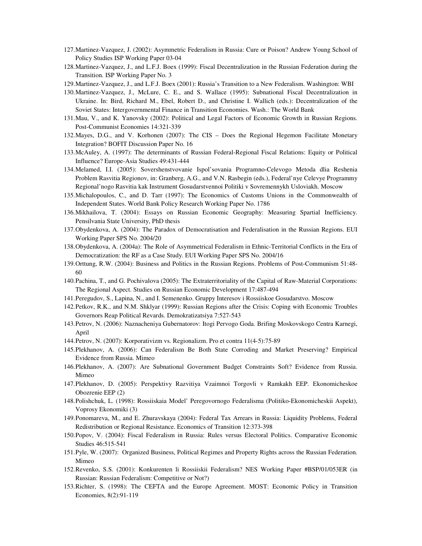- 127.Martinez-Vazquez, J. (2002): Asymmetric Federalism in Russia: Cure or Poison? Andrew Young School of Policy Studies ISP Working Paper 03-04
- 128.Martinez-Vazquez, J., and L.F.J. Boex (1999): Fiscal Decentralization in the Russian Federation during the Transition. ISP Working Paper No. 3
- 129.Martinez-Vazquez, J., and L.F.J. Boex (2001): Russia's Transition to a New Federalism. Washington: WBI
- 130.Martinez-Vazquez, J., McLure, C. E., and S. Wallace (1995): Subnational Fiscal Decentralization in Ukraine. In: Bird, Richard M., Ebel, Robert D., and Christine I. Wallich (eds.): Decentralization of the Soviet States: Intergovernmental Finance in Transition Economies. Wash.: The World Bank
- 131.Mau, V., and K. Yanovsky (2002): Political and Legal Factors of Economic Growth in Russian Regions. Post-Communist Economies 14:321-339
- 132.Mayes, D.G., and V. Korhonen (2007): The CIS Does the Regional Hegemon Facilitate Monetary Integration? BOFIT Discussion Paper No. 16
- 133.McAuley, A. (1997): The determinants of Russian Federal-Regional Fiscal Relations: Equity or Political Influence? Europe-Asia Studies 49:431-444
- 134.Melamed, I.I. (2005): Sovershenstvovanie Ispol'sovania Programno-Celevogo Metoda dlia Reshenia Problem Rasvitia Regionov, in: Granberg, A.G., and V.N. Rasbegin (eds.), Federal'nye Celevye Programmy Regional'nogo Rasvitia kak Instrument Gosudarstvennoi Politiki v Sovremennykh Usloviakh. Moscow
- 135.Michalopoulos, C., and D. Tarr (1997): The Economics of Customs Unions in the Commonwealth of Independent States. World Bank Policy Research Working Paper No. 1786
- 136.Mikhailova, T. (2004): Essays on Russian Economic Geography: Measuring Spartial Inefficiency. Pensilvania State University, PhD thesis
- 137.Obydenkova, A. (2004): The Paradox of Democratisation and Federalisation in the Russian Regions. EUI Working Paper SPS No. 2004/20
- 138.Obydenkova, A. (2004a): The Role of Asymmetrical Federalism in Ethnic-Territorial Conflicts in the Era of Democratization: the RF as a Case Study. EUI Working Paper SPS No. 2004/16
- 139.Orttung, R.W. (2004): Business and Politics in the Russian Regions. Problems of Post-Communism 51:48- 60
- 140.Pachina, T., and G. Pochivalova (2005): The Extraterritoriality of the Capital of Raw-Material Corporations: The Regional Aspect. Studies on Russian Economic Development 17:487-494
- 141.Peregudov, S., Lapina, N., and I. Semenenko. Gruppy Interesov i Rossiiskoe Gosudarstvo. Moscow
- 142.Petkov, R.K., and N.M. Shklyar (1999): Russian Regions after the Crisis: Coping with Economic Troubles Governors Reap Political Revards. Demokratizatsiya 7:527-543
- 143.Petrov, N. (2006): Naznacheniya Gubernatorov: Itogi Pervogo Goda. Brifing Moskovskogo Centra Karnegi, April
- 144.Petrov, N. (2007): Korporativizm vs. Regionalizm. Pro et contra 11(4-5):75-89
- 145.Plekhanov, A. (2006): Can Federalism Be Both State Corroding and Market Preserving? Empirical Evidence from Russia. Mimeo
- 146.Plekhanov, A. (2007): Are Subnational Government Budget Constraints Soft? Evidence from Russia. Mimeo
- 147.Plekhanov, D. (2005): Perspektivy Razvitiya Vzaimnoi Torgovli v Ramkakh EEP. Ekonomicheskoe Obozrenie EEP (2)
- 148.Polishchuk, L. (1998): Rossiiskaia Model' Peregovornogo Federalisma (Politiko-Ekonomicheskii Aspekt), Voprosy Ekonomiki (3)
- 149.Ponomareva, M., and E. Zhuravskaya (2004): Federal Tax Arrears in Russia: Liquidity Problems, Federal Redistribution or Regional Resistance. Economics of Transition 12:373-398
- 150.Popov, V. (2004): Fiscal Federalism in Russia: Rules versus Electoral Politics. Comparative Economic Studies 46:515-541
- 151.Pyle, W. (2007): Organized Business, Political Regimes and Property Rights across the Russian Federation. Mimeo
- 152.Revenko, S.S. (2001): Konkurenten li Rossiiskii Federalism? NES Working Paper #BSP/01/053ER (in Russian: Russian Federalism: Competitive or Not?)
- 153.Richter, S. (1998): The CEFTA and the Europe Agreement. MOST: Economic Policy in Transition Economies, 8(2):91-119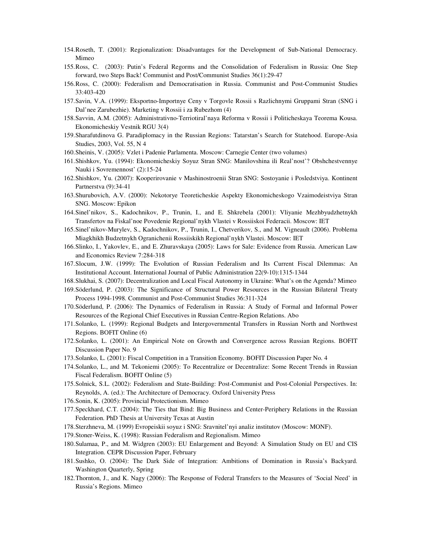- 154.Roseth, T. (2001): Regionalization: Disadvantages for the Development of Sub-National Democracy. Mimeo
- 155.Ross, C. (2003): Putin's Federal Regorms and the Consolidation of Federalism in Russia: One Step forward, two Steps Back! Communist and Post/Communist Studies 36(1):29-47
- 156.Ross, C. (2000): Federalism and Democratisation in Russia. Communist and Post-Communist Studies 33:403-420
- 157.Savin, V.A. (1999): Eksportno-Importnye Ceny v Torgovle Rossii s Razlichnymi Gruppami Stran (SNG i Dal'nee Zarubezhie). Marketing v Rossii i za Rubezhom (4)
- 158.Savvin, A.M. (2005): Administrativno-Terriotiral'naya Reforma v Rossii i Politicheskaya Teorema Kousa. Ekonomicheskiy Vestnik RGU 3(4)
- 159.Sharafutdinova G. Paradiplomacy in the Russian Regions: Tatarstan's Search for Statehood. Europe-Asia Studies, 2003, Vol. 55, N 4
- 160.Sheinis, V. (2005): Vzlet i Padenie Parlamenta. Moscow: Carnegie Center (two volumes)
- 161.Shishkov, Yu. (1994): Ekonomicheskiy Soyuz Stran SNG: Manilovshina ili Real'nost'? Obshchestvennye Nauki i Sovremennost' (2):15-24
- 162.Shishkov, Yu. (2007): Kooperirovanie v Mashinostroenii Stran SNG: Sostoyanie i Posledstviya. Kontinent Partnerstva (9):34-41
- 163.Shurubovich, A.V. (2000): Nekotorye Teoreticheskie Aspekty Ekonomicheskogo Vzaimodeistviya Stran SNG. Moscow: Epikon
- 164.Sinel'nikov, S., Kadochnikov, P., Trunin, I., and E. Shkrebela (2001): Vliyanie Mezhbyudzhetnykh Transfertov na Fiskal'noe Povedenie Regional'nykh Vlastei v Rossiiskoi Federacii. Moscow: IET
- 165.Sinel'nikov-Murylev, S., Kadochnikov, P., Trunin, I., Chetverikov, S., and M. Vigneault (2006). Problema Miagkhikh Budzetnykh Ogranichenii Rossiiskikh Regional'nykh Vlastei. Moscow: IET
- 166.Slinko, I., Yakovlev, E., and E. Zhuravskaya (2005): Laws for Sale: Evidence from Russia. American Law and Economics Review 7:284-318
- 167.Slocum, J.W. (1999): The Evolution of Russian Federalism and Its Current Fiscal Dilemmas: An Institutional Account. International Journal of Public Administration 22(9-10):1315-1344
- 168.Slukhai, S. (2007): Decentralization and Local Fiscal Autonomy in Ukraine: What's on the Agenda? Mimeo
- 169.Söderlund, P. (2003): The Significance of Structural Power Resources in the Russian Bilateral Treaty Process 1994-1998. Communist and Post-Communist Studies 36:311-324
- 170.Söderlund, P. (2006): The Dynamics of Federalism in Russia: A Study of Formal and Informal Power Resources of the Regional Chief Executives in Russian Centre-Region Relations. Abo
- 171.Solanko, L. (1999): Regional Budgets and Intergovernmental Transfers in Russian North and Northwest Regions. BOFIT Online (6)
- 172.Solanko, L. (2001): An Empirical Note on Growth and Convergence across Russian Regions. BOFIT Discussion Paper No. 9
- 173.Solanko, L. (2001): Fiscal Competition in a Transition Economy. BOFIT Discussion Paper No. 4
- 174.Solanko, L., and M. Tekoniemi (2005): To Recentralize or Decentralize: Some Recent Trends in Russian Fiscal Federalism. BOFIT Online (5)
- 175.Solnick, S.L. (2002): Federalism and State-Building: Post-Communist and Post-Colonial Perspectives. In: Reynolds, A. (ed.): The Architecture of Democracy. Oxford University Press
- 176.Sonin, K. (2005): Provincial Protectionism. Mimeo
- 177.Speckhard, C.T. (2004): The Ties that Bind: Big Business and Center-Periphery Relations in the Russian Federation. PhD Thesis at University Texas at Austin
- 178.Sterzhneva, M. (1999) Evropeiskii soyuz i SNG: Sravnitel'nyi analiz institutov (Moscow: MONF).
- 179.Stoner-Weiss, K. (1998): Russian Federalism and Regionalism. Mimeo
- 180.Sulamaa, P., and M. Widgren (2003): EU Enlargement and Beyond: A Simulation Study on EU and CIS Integration. CEPR Discussion Paper, February
- 181.Sushko, O. (2004): The Dark Side of Integration: Ambitions of Domination in Russia's Backyard. Washington Quarterly, Spring
- 182.Thornton, J., and K. Nagy (2006): The Response of Federal Transfers to the Measures of 'Social Need' in Russia's Regions. Mimeo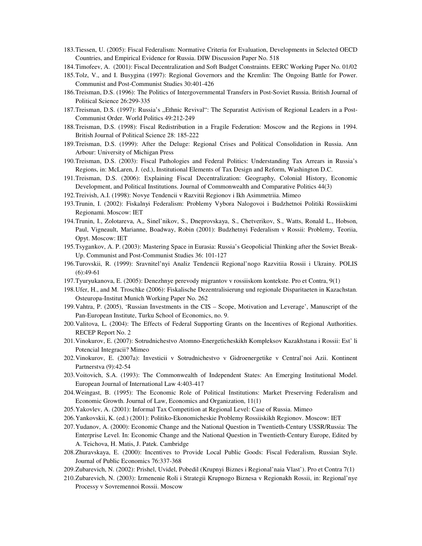- 183.Tiessen, U. (2005): Fiscal Federalism: Normative Criteria for Evaluation, Developments in Selected OECD Countries, and Empirical Evidence for Russia. DIW Discussion Paper No. 518
- 184.Timofeev, A. (2001): Fiscal Decentralization and Soft Budget Constraints. EERC Working Paper No. 01/02
- 185.Tolz, V., and I. Busygina (1997): Regional Governors and the Kremlin: The Ongoing Battle for Power. Communist and Post-Communist Studies 30:401-426
- 186.Treisman, D.S. (1996): The Politics of Intergovernmental Transfers in Post-Soviet Russia. British Journal of Political Science 26:299-335
- 187. Treisman, D.S. (1997): Russia's "Ethnic Revival": The Separatist Activism of Regional Leaders in a Post-Communist Order. World Politics 49:212-249
- 188.Treisman, D.S. (1998): Fiscal Redistribution in a Fragile Federation: Moscow and the Regions in 1994. British Journal of Political Science 28: 185-222
- 189.Treisman, D.S. (1999): After the Deluge: Regional Crises and Political Consolidation in Russia. Ann Arbour: University of Michigan Press
- 190.Treisman, D.S. (2003): Fiscal Pathologies and Federal Politics: Understanding Tax Arrears in Russia's Regions, in: McLaren, J. (ed.), Institutional Elements of Tax Design and Reform, Washington D.C.
- 191.Treisman, D.S. (2006): Explaining Fiscal Decentralization: Geography, Colonial History, Economic Development, and Political Institutions. Journal of Commonwealth and Comparative Politics 44(3)
- 192.Treivish, A.I. (1998): Novye Tendencii v Razvitii Regionov i Ikh Asimmetriia. Mimeo
- 193.Trunin, I. (2002): Fiskalnyi Federalism: Problemy Vybora Nalogovoi i Budzhetnoi Politiki Rossiiskimi Regionami. Moscow: IET
- 194.Trunin, I., Zolotareva, A,, Sinel'nikov, S., Dneprovskaya, S., Chetverikov, S., Watts, Ronald L., Hobson, Paul, Vigneault, Marianne, Boadway, Robin (2001): Budzhetnyi Federalism v Rossii: Problemy, Teoriia, Opyt. Moscow: IET
- 195.Tsygankov, A. P. (2003): Mastering Space in Eurasia: Russia's Geopolicial Thinking after the Soviet Break-Up. Communist and Post-Communist Studies 36: 101-127
- 196.Turovskii, R. (1999): Sravnitel'nyi Analiz Tendencii Regional'nogo Razvitiia Rossii i Ukrainy. POLIS (6):49-61
- 197.Tyuryukanova, E. (2005): Denezhnye perevody migrantov v rossiiskom kontekste. Pro et Contra, 9(1)
- 198.Ufer, H., and M. Troschke (2006): Fiskalische Dezentralisierung und regionale Disparitaeten in Kazachstan. Osteuropa-Institut Munich Working Paper No. 262
- 199.Vahtra, P. (2005), 'Russian Investments in the CIS Scope, Motivation and Leverage', Manuscript of the Pan-European Institute, Turku School of Economics, no. 9.
- 200.Valitova, L. (2004): The Effects of Federal Supporting Grants on the Incentives of Regional Authorities. RECEP Report No. 2
- 201.Vinokurov, E. (2007): Sotrudnichestvo Atomno-Energeticheskikh Kompleksov Kazakhstana i Rossii: Est' li Potencial Integracii? Mimeo
- 202.Vinokurov, E. (2007a): Investicii v Sotrudnichestvo v Gidroenergetike v Central'noi Azii. Kontinent Partnerstva (9):42-54
- 203.Voitovich, S.A. (1993): The Commonwealth of Independent States: An Emerging Institutional Model. European Journal of International Law 4:403-417
- 204.Weingast, B. (1995): The Economic Role of Political Institutions: Market Preserving Federalism and Economic Growth. Journal of Law, Economics and Organization, 11(1)
- 205.Yakovlev, A. (2001): Informal Tax Competition at Regional Level: Case of Russia. Mimeo
- 206.Yankovskii, K. (ed.) (2001): Politiko-Ekonomicheskie Problemy Rossiiskikh Regionov. Moscow: IET
- 207.Yudanov, A. (2000): Economic Change and the National Question in Twentieth-Century USSR/Russia: The Enterprise Level. In: Economic Change and the National Question in Twentieth-Century Europe, Edited by A. Teichova, H. Matis, J. Patek. Cambridge
- 208.Zhuravskaya, E. (2000): Incentives to Provide Local Public Goods: Fiscal Federalism, Russian Style. Journal of Public Economics 76:337-368
- 209.Zubarevich, N. (2002): Prishel, Uvidel, Pobedil (Krupnyi Biznes i Regional'naia Vlast'). Pro et Contra 7(1)
- 210.Zubarevich, N. (2003): Izmenenie Roli i Strategii Krupnogo Biznesa v Regionakh Rossii, in: Regional'nye Processy v Sovremennoi Rossii. Moscow